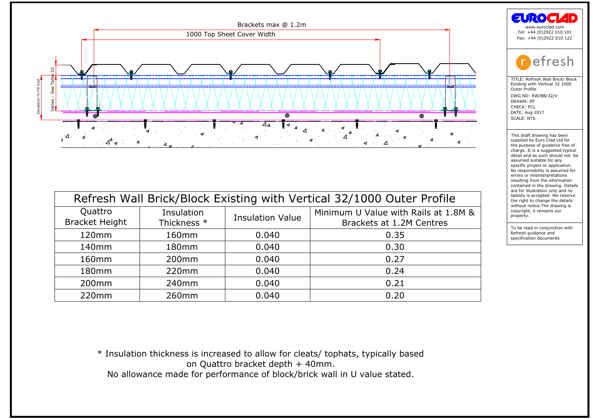

| Quattro<br><b>Bracket Height</b> | Insulation<br>Thickness * | <b>Insulation Value</b> | Minimum U Value with Rails at 1.8M &<br>Brackets at 1.2M Centres |
|----------------------------------|---------------------------|-------------------------|------------------------------------------------------------------|
| 120mm                            | 160mm                     | 0.040                   | 0.35                                                             |
| 140 <sub>mm</sub>                | 180 <sub>mm</sub>         | 0.040                   | 0.30                                                             |
| 160 <sub>mm</sub>                | 200 <sub>mm</sub>         | 0.040                   | 0.27                                                             |
| 180 <sub>mm</sub>                | 220mm                     | 0.040                   | 0.24                                                             |
| 200 <sub>mm</sub>                | 240 <sub>mm</sub>         | 0.040                   | 0.21                                                             |
| 220mm                            | 260mm                     | 0.040                   | 0.20                                                             |
|                                  |                           |                         |                                                                  |

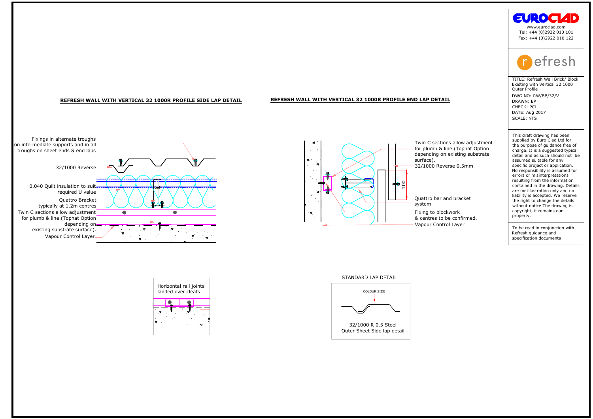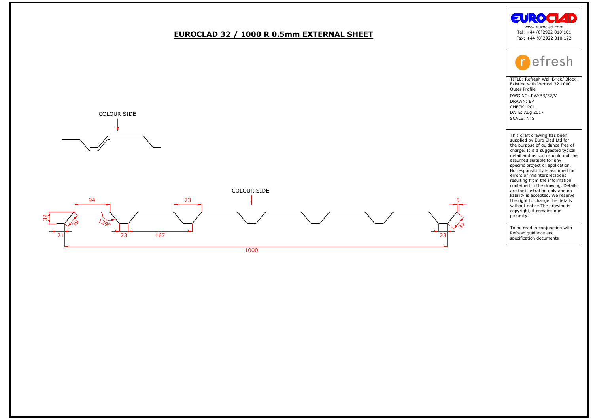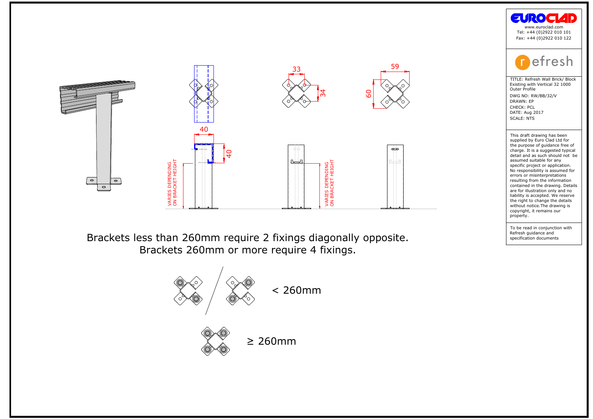





the purpose of guidance free compare of guidance free charge. It is a suggested typic<br>detail and as such should not<br>assumed suitable for any<br>conjunction project or application.<br>No responsibility is assumed ferrors or misin charge: it is a suggested<br>detail and as such shassumed suitable for<br>assumed suitable for applications of a proportion of<br>No responsibility is assementing from the infinance of<br>and the different and the draw without notice.